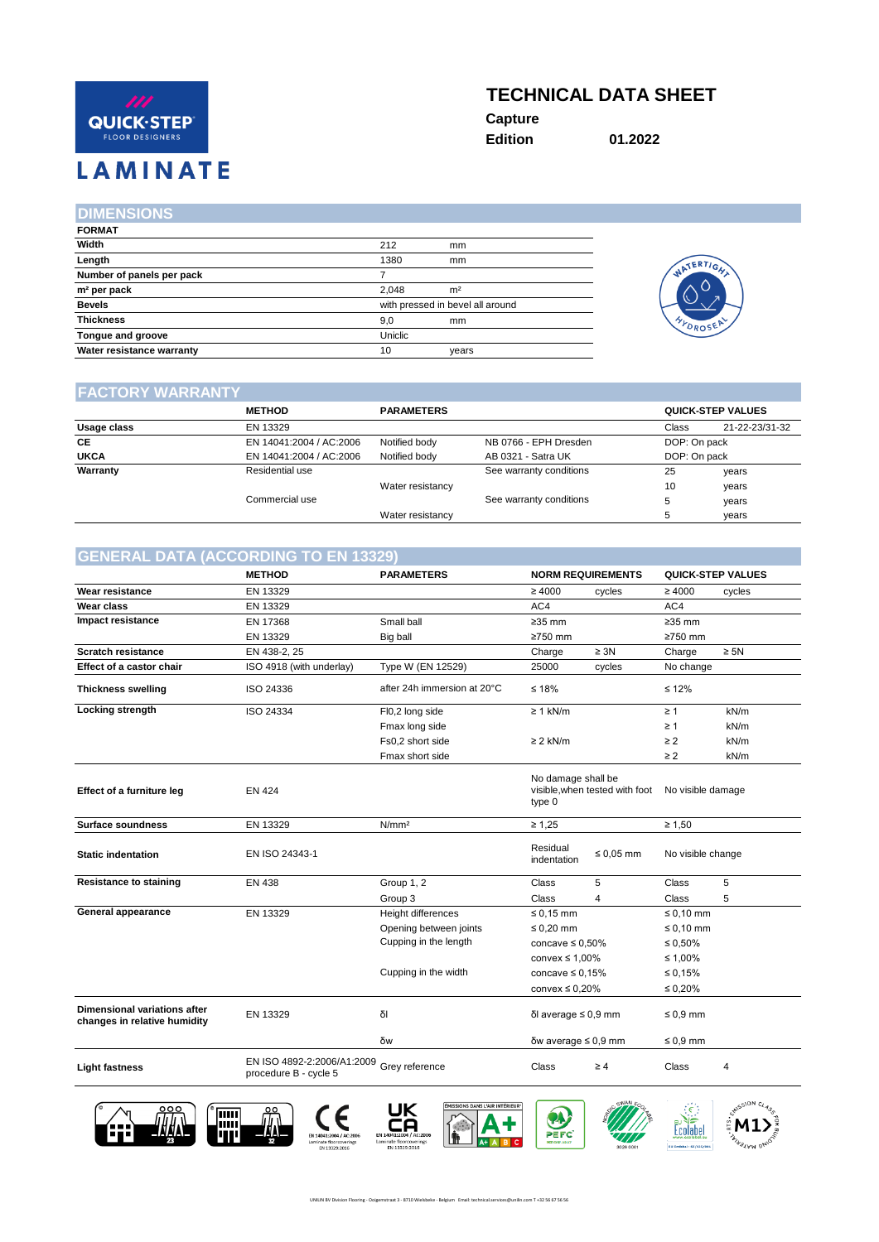# QUICK·STEP **FLOOR DESIGNERS**

# **TECHNICAL DATA SHEET**

**Capture**

**Edition 01.2022**

**LAMINATE** 

### **DIMENSIONS**

| <b>FORMAT</b>             |         |                                  |
|---------------------------|---------|----------------------------------|
| Width                     | 212     | mm                               |
| Length                    | 1380    | mm                               |
| Number of panels per pack |         |                                  |
| m <sup>2</sup> per pack   | 2.048   | m <sup>2</sup>                   |
| <b>Bevels</b>             |         | with pressed in bevel all around |
| <b>Thickness</b>          | 9,0     | mm                               |
| Tongue and groove         | Uniclic |                                  |
| Water resistance warranty | 10      | years                            |



#### **FACTORY WARRANTY**

|             | <b>METHOD</b>           | <b>PARAMETERS</b> |                         |              | <b>QUICK-STEP VALUES</b> |
|-------------|-------------------------|-------------------|-------------------------|--------------|--------------------------|
| Usage class | EN 13329                |                   |                         | Class        | 21-22-23/31-32           |
| CE          | EN 14041:2004 / AC:2006 | Notified body     | NB 0766 - EPH Dresden   | DOP: On pack |                          |
| <b>UKCA</b> | EN 14041:2004 / AC:2006 | Notified body     | AB 0321 - Satra UK      | DOP: On pack |                          |
| Warranty    | Residential use         |                   | See warranty conditions | 25           | years                    |
|             |                         | Water resistancy  |                         | 10           | years                    |
|             | Commercial use          |                   | See warranty conditions | 5            | years                    |
|             |                         | Water resistancy  |                         |              | years                    |

## **GENERAL DATA (ACCORDING TO EN 13329)**

|                                                                     | <b>METHOD</b>                                       | <b>PARAMETERS</b>           |                                                                                     | <b>NORM REQUIREMENTS</b> |                   | <b>QUICK-STEP VALUES</b> |
|---------------------------------------------------------------------|-----------------------------------------------------|-----------------------------|-------------------------------------------------------------------------------------|--------------------------|-------------------|--------------------------|
| <b>Wear resistance</b>                                              | EN 13329                                            |                             | $\geq 4000$                                                                         | cycles                   | $\geq 4000$       | cycles                   |
| Wear class                                                          | EN 13329                                            |                             | AC4                                                                                 |                          | AC4               |                          |
| Impact resistance                                                   | EN 17368                                            | Small ball                  | $\geq$ 35 mm                                                                        |                          | $\geq$ 35 mm      |                          |
|                                                                     | EN 13329                                            | Big ball                    | ≥750 mm                                                                             |                          | ≥750 mm           |                          |
| <b>Scratch resistance</b>                                           | EN 438-2, 25                                        |                             | Charge                                                                              | $\geq 3N$                | Charge            | $\geq 5N$                |
| Effect of a castor chair                                            | ISO 4918 (with underlay)                            | Type W (EN 12529)           | 25000                                                                               | cycles                   | No change         |                          |
| <b>Thickness swelling</b>                                           | ISO 24336                                           | after 24h immersion at 20°C | $≤ 18%$                                                                             |                          | $\leq 12\%$       |                          |
| Locking strength                                                    | ISO 24334                                           | FI0,2 long side             | $\geq 1$ kN/m                                                                       |                          | $\geq 1$          | kN/m                     |
|                                                                     |                                                     | Fmax long side              |                                                                                     |                          | $\geq 1$          | kN/m                     |
|                                                                     |                                                     | Fs0,2 short side            | $\geq$ 2 kN/m                                                                       |                          | $\geq$ 2          | kN/m                     |
|                                                                     |                                                     | Fmax short side             |                                                                                     |                          | $\geq$ 2          | kN/m                     |
| Effect of a furniture leg                                           | <b>EN 424</b>                                       |                             | No damage shall be<br>visible, when tested with foot<br>No visible damage<br>type 0 |                          |                   |                          |
| <b>Surface soundness</b>                                            | EN 13329                                            | N/mm <sup>2</sup>           | $\geq 1.25$                                                                         |                          | $\geq 1,50$       |                          |
| <b>Static indentation</b>                                           | EN ISO 24343-1                                      |                             | Residual<br>indentation                                                             | $\leq 0.05$ mm           | No visible change |                          |
| <b>Resistance to staining</b>                                       | <b>EN 438</b>                                       | Group 1, 2                  | Class                                                                               | 5                        | Class             | 5                        |
|                                                                     |                                                     | Group 3                     | Class                                                                               | 4                        | Class             | 5                        |
| General appearance                                                  | EN 13329                                            | Height differences          | $\leq 0.15$ mm                                                                      |                          | $\leq 0.10$ mm    |                          |
|                                                                     |                                                     | Opening between joints      | $\leq 0.20$ mm                                                                      |                          | $\leq 0.10$ mm    |                          |
|                                                                     |                                                     | Cupping in the length       | concave $\leq 0.50\%$                                                               |                          | $\leq 0.50\%$     |                          |
|                                                                     |                                                     |                             | convex $\leq 1.00\%$                                                                |                          | ≤ 1,00%           |                          |
|                                                                     |                                                     | Cupping in the width        | concave $\leq 0.15\%$                                                               |                          | ≤ 0,15%           |                          |
|                                                                     |                                                     |                             | convex $\leq 0.20\%$                                                                |                          | $\leq 0.20\%$     |                          |
| <b>Dimensional variations after</b><br>changes in relative humidity | EN 13329                                            | δΙ                          | δΙ average $\leq$ 0,9 mm                                                            |                          | $\leq 0.9$ mm     |                          |
|                                                                     |                                                     | δw                          | δw average $\leq$ 0,9 mm                                                            |                          | $\leq 0.9$ mm     |                          |
| <b>Light fastness</b>                                               | EN ISO 4892-2:2006/A1:2009<br>procedure B - cycle 5 | Grey reference              | Class                                                                               | $\geq 4$                 | Class             | 4                        |
|                                                                     |                                                     |                             |                                                                                     |                          |                   |                          |